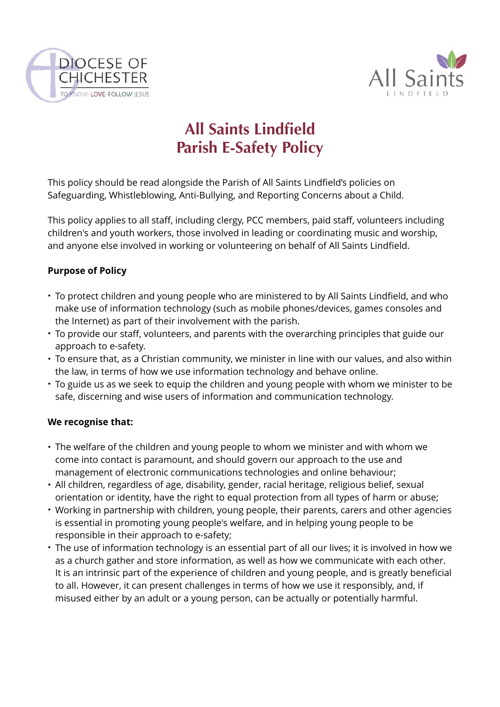



# **All Saints Lindfield Parish E-Safety Policy**

This policy should be read alongside the Parish of All Saints Lindfield's policies on Safeguarding, Whistleblowing, Anti-Bullying, and Reporting Concerns about a Child.

This policy applies to all staff, including clergy, PCC members, paid staff, volunteers including children's and youth workers, those involved in leading or coordinating music and worship, and anyone else involved in working or volunteering on behalf of All Saints Lindfield.

### **Purpose of Policy**

- To protect children and young people who are ministered to by All Saints Lindfield, and who make use of information technology (such as mobile phones/devices, games consoles and the Internet) as part of their involvement with the parish.
- To provide our staff, volunteers, and parents with the overarching principles that guide our approach to e-safety.
- To ensure that, as a Christian community, we minister in line with our values, and also within the law, in terms of how we use information technology and behave online.
- To guide us as we seek to equip the children and young people with whom we minister to be safe, discerning and wise users of information and communication technology.

### **We recognise that:**

- The welfare of the children and young people to whom we minister and with whom we come into contact is paramount, and should govern our approach to the use and management of electronic communications technologies and online behaviour;
- All children, regardless of age, disability, gender, racial heritage, religious belief, sexual orientation or identity, have the right to equal protection from all types of harm or abuse;
- Working in partnership with children, young people, their parents, carers and other agencies is essential in promoting young people's welfare, and in helping young people to be responsible in their approach to e-safety;
- The use of information technology is an essential part of all our lives; it is involved in how we as a church gather and store information, as well as how we communicate with each other. It is an intrinsic part of the experience of children and young people, and is greatly beneficial to all. However, it can present challenges in terms of how we use it responsibly, and, if misused either by an adult or a young person, can be actually or potentially harmful.